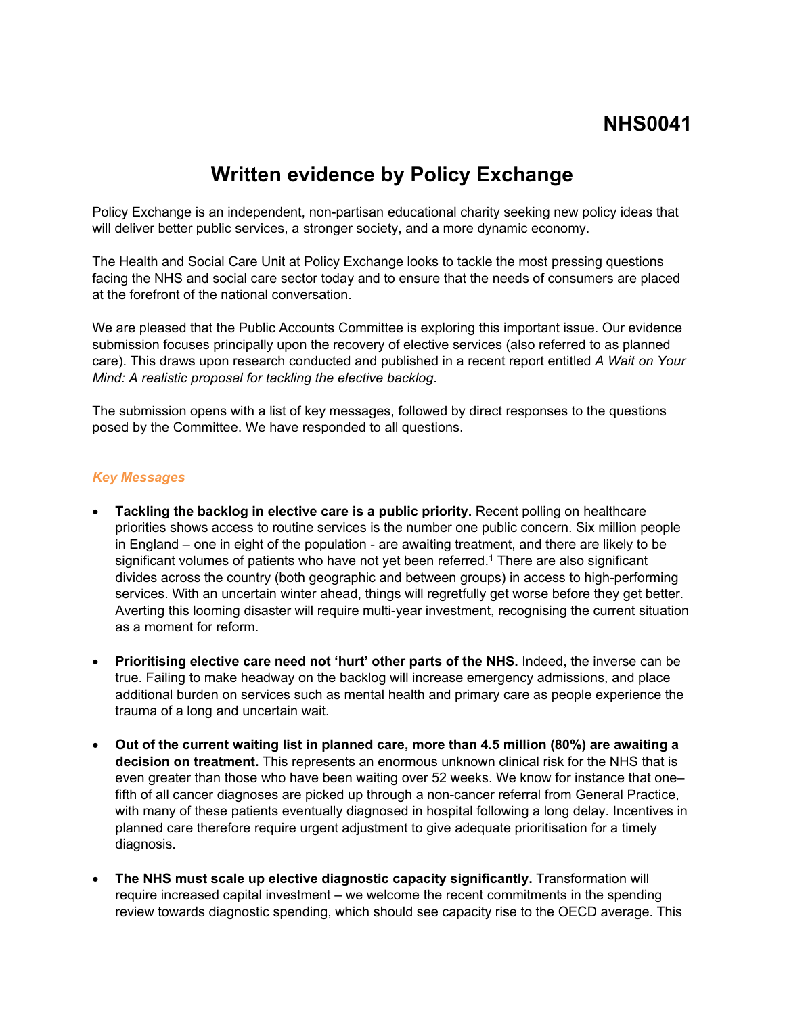# **NHS0041**

# **Written evidence by Policy Exchange**

Policy Exchange is an independent, non-partisan educational charity seeking new policy ideas that will deliver better public services, a stronger society, and a more dynamic economy.

The Health and Social Care Unit at Policy Exchange looks to tackle the most pressing questions facing the NHS and social care sector today and to ensure that the needs of consumers are placed at the forefront of the national conversation.

We are pleased that the Public Accounts Committee is exploring this important issue. Our evidence submission focuses principally upon the recovery of elective services (also referred to as planned care). This draws upon research conducted and published in a recent report entitled *A Wait on Your Mind: A realistic proposal for tackling the elective backlog*.

The submission opens with a list of key messages, followed by direct responses to the questions posed by the Committee. We have responded to all questions.

#### *Key Messages*

- **Tackling the backlog in elective care is a public priority.** Recent polling on healthcare priorities shows access to routine services is the number one public concern. Six million people in England – one in eight of the population - are awaiting treatment, and there are likely to be significant volumes of patients who have not yet been referred.<sup>1</sup> There are also significant divides across the country (both geographic and between groups) in access to high-performing services. With an uncertain winter ahead, things will regretfully get worse before they get better. Averting this looming disaster will require multi-year investment, recognising the current situation as a moment for reform.
- **Prioritising elective care need not 'hurt' other parts of the NHS.** Indeed, the inverse can be true. Failing to make headway on the backlog will increase emergency admissions, and place additional burden on services such as mental health and primary care as people experience the trauma of a long and uncertain wait.
- **Out of the current waiting list in planned care, more than 4.5 million (80%) are awaiting a decision on treatment.** This represents an enormous unknown clinical risk for the NHS that is even greater than those who have been waiting over 52 weeks. We know for instance that one– fifth of all cancer diagnoses are picked up through a non-cancer referral from General Practice, with many of these patients eventually diagnosed in hospital following a long delay. Incentives in planned care therefore require urgent adjustment to give adequate prioritisation for a timely diagnosis.
- **The NHS must scale up elective diagnostic capacity significantly.** Transformation will require increased capital investment – we welcome the recent commitments in the spending review towards diagnostic spending, which should see capacity rise to the OECD average. This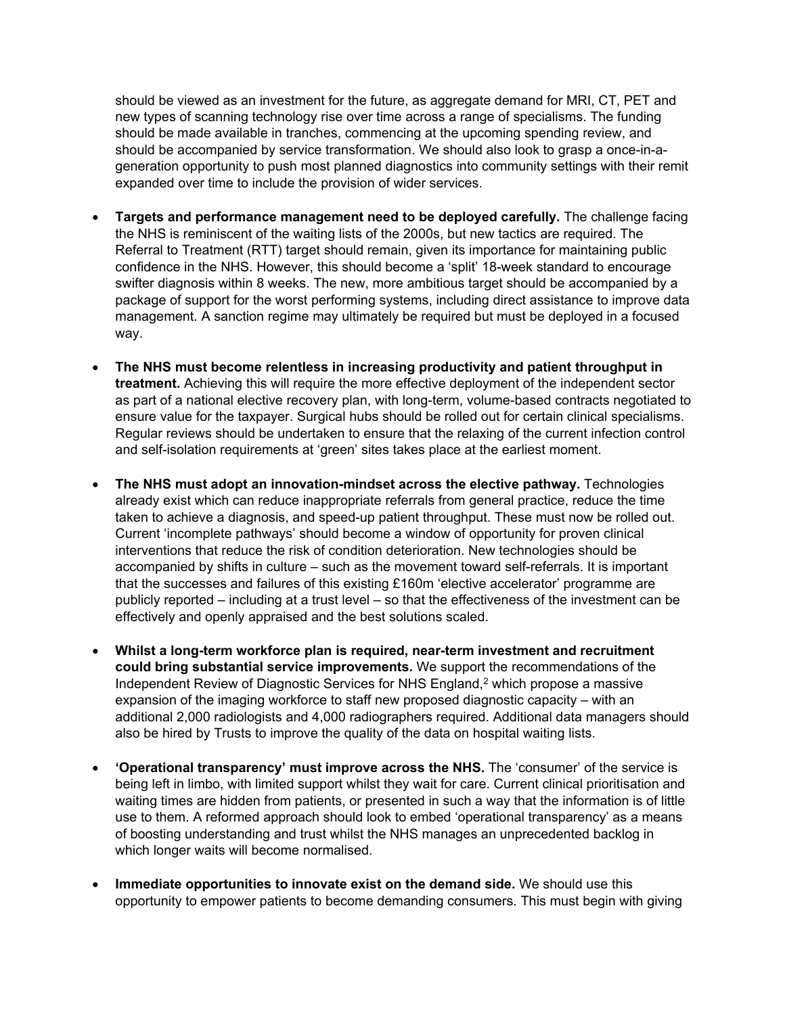should be viewed as an investment for the future, as aggregate demand for MRI, CT, PET and new types of scanning technology rise over time across a range of specialisms. The funding should be made available in tranches, commencing at the upcoming spending review, and should be accompanied by service transformation. We should also look to grasp a once-in-ageneration opportunity to push most planned diagnostics into community settings with their remit expanded over time to include the provision of wider services.

- **Targets and performance management need to be deployed carefully.** The challenge facing the NHS is reminiscent of the waiting lists of the 2000s, but new tactics are required. The Referral to Treatment (RTT) target should remain, given its importance for maintaining public confidence in the NHS. However, this should become a 'split' 18-week standard to encourage swifter diagnosis within 8 weeks. The new, more ambitious target should be accompanied by a package of support for the worst performing systems, including direct assistance to improve data management. A sanction regime may ultimately be required but must be deployed in a focused way.
- **The NHS must become relentless in increasing productivity and patient throughput in treatment.** Achieving this will require the more effective deployment of the independent sector as part of a national elective recovery plan, with long-term, volume-based contracts negotiated to ensure value for the taxpayer. Surgical hubs should be rolled out for certain clinical specialisms. Regular reviews should be undertaken to ensure that the relaxing of the current infection control and self-isolation requirements at 'green' sites takes place at the earliest moment.
- **The NHS must adopt an innovation-mindset across the elective pathway.** Technologies already exist which can reduce inappropriate referrals from general practice, reduce the time taken to achieve a diagnosis, and speed-up patient throughput. These must now be rolled out. Current 'incomplete pathways' should become a window of opportunity for proven clinical interventions that reduce the risk of condition deterioration. New technologies should be accompanied by shifts in culture – such as the movement toward self-referrals. It is important that the successes and failures of this existing £160m 'elective accelerator' programme are publicly reported – including at a trust level – so that the effectiveness of the investment can be effectively and openly appraised and the best solutions scaled.
- **Whilst a long-term workforce plan is required, near-term investment and recruitment could bring substantial service improvements.** We support the recommendations of the Independent Review of Diagnostic Services for NHS England,<sup>2</sup> which propose a massive expansion of the imaging workforce to staff new proposed diagnostic capacity – with an additional 2,000 radiologists and 4,000 radiographers required. Additional data managers should also be hired by Trusts to improve the quality of the data on hospital waiting lists.
- **'Operational transparency' must improve across the NHS.** The 'consumer' of the service is being left in limbo, with limited support whilst they wait for care. Current clinical prioritisation and waiting times are hidden from patients, or presented in such a way that the information is of little use to them. A reformed approach should look to embed 'operational transparency' as a means of boosting understanding and trust whilst the NHS manages an unprecedented backlog in which longer waits will become normalised.
- **Immediate opportunities to innovate exist on the demand side.** We should use this opportunity to empower patients to become demanding consumers. This must begin with giving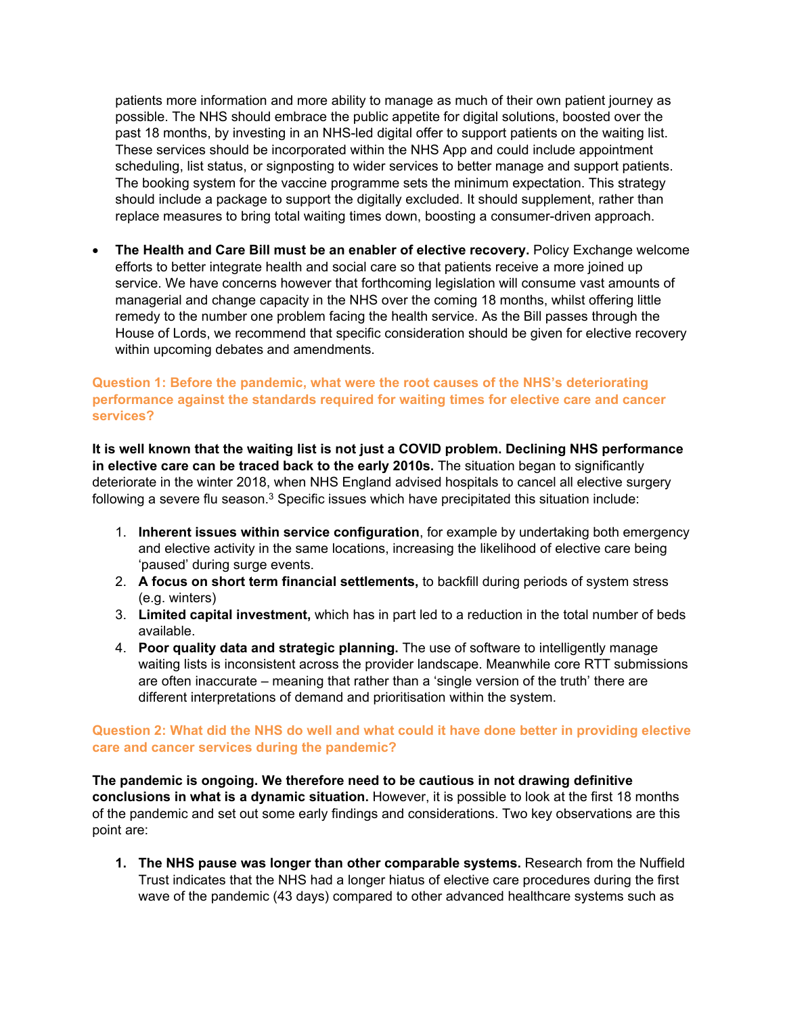patients more information and more ability to manage as much of their own patient journey as possible. The NHS should embrace the public appetite for digital solutions, boosted over the past 18 months, by investing in an NHS-led digital offer to support patients on the waiting list. These services should be incorporated within the NHS App and could include appointment scheduling, list status, or signposting to wider services to better manage and support patients. The booking system for the vaccine programme sets the minimum expectation. This strategy should include a package to support the digitally excluded. It should supplement, rather than replace measures to bring total waiting times down, boosting a consumer-driven approach.

 **The Health and Care Bill must be an enabler of elective recovery.** Policy Exchange welcome efforts to better integrate health and social care so that patients receive a more joined up service. We have concerns however that forthcoming legislation will consume vast amounts of managerial and change capacity in the NHS over the coming 18 months, whilst offering little remedy to the number one problem facing the health service. As the Bill passes through the House of Lords, we recommend that specific consideration should be given for elective recovery within upcoming debates and amendments.

## **Question 1: Before the pandemic, what were the root causes of the NHS's deteriorating performance against the standards required for waiting times for elective care and cancer services?**

**It is well known that the waiting list is not just a COVID problem. Declining NHS performance in elective care can be traced back to the early 2010s.** The situation began to significantly deteriorate in the winter 2018, when NHS England advised hospitals to cancel all elective surgery following a severe flu season. $3$  Specific issues which have precipitated this situation include:

- 1. **Inherent issues within service configuration**, for example by undertaking both emergency and elective activity in the same locations, increasing the likelihood of elective care being 'paused' during surge events.
- 2. **A focus on short term financial settlements,** to backfill during periods of system stress (e.g. winters)
- 3. **Limited capital investment,** which has in part led to a reduction in the total number of beds available.
- 4. **Poor quality data and strategic planning.** The use of software to intelligently manage waiting lists is inconsistent across the provider landscape. Meanwhile core RTT submissions are often inaccurate – meaning that rather than a 'single version of the truth' there are different interpretations of demand and prioritisation within the system.

### **Question 2: What did the NHS do well and what could it have done better in providing elective care and cancer services during the pandemic?**

**The pandemic is ongoing. We therefore need to be cautious in not drawing definitive conclusions in what is a dynamic situation.** However, it is possible to look at the first 18 months of the pandemic and set out some early findings and considerations. Two key observations are this point are:

**1. The NHS pause was longer than other comparable systems.** Research from the Nuffield Trust indicates that the NHS had a longer hiatus of elective care procedures during the first wave of the pandemic (43 days) compared to other advanced healthcare systems such as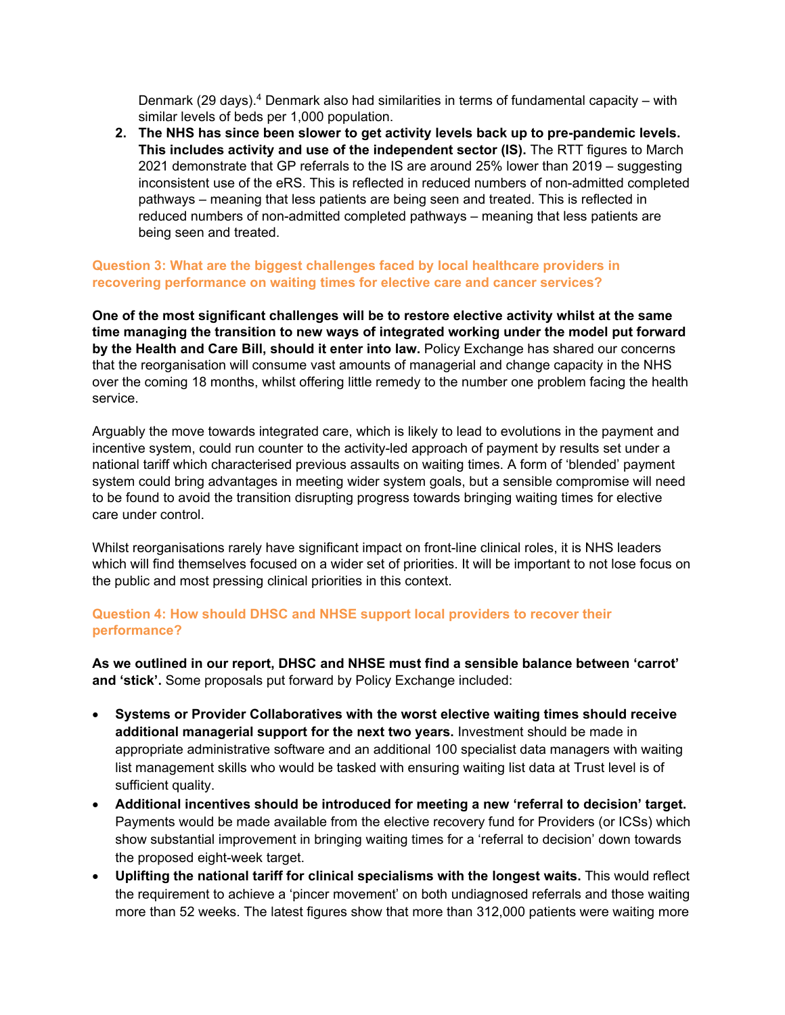Denmark (29 days).<sup>4</sup> Denmark also had similarities in terms of fundamental capacity – with similar levels of beds per 1,000 population.

**2. The NHS has since been slower to get activity levels back up to pre-pandemic levels. This includes activity and use of the independent sector (IS).** The RTT figures to March 2021 demonstrate that GP referrals to the IS are around 25% lower than 2019 – suggesting inconsistent use of the eRS. This is reflected in reduced numbers of non-admitted completed pathways – meaning that less patients are being seen and treated. This is reflected in reduced numbers of non-admitted completed pathways – meaning that less patients are being seen and treated.

#### **Question 3: What are the biggest challenges faced by local healthcare providers in recovering performance on waiting times for elective care and cancer services?**

**One of the most significant challenges will be to restore elective activity whilst at the same time managing the transition to new ways of integrated working under the model put forward by the Health and Care Bill, should it enter into law.** Policy Exchange has shared our concerns that the reorganisation will consume vast amounts of managerial and change capacity in the NHS over the coming 18 months, whilst offering little remedy to the number one problem facing the health service.

Arguably the move towards integrated care, which is likely to lead to evolutions in the payment and incentive system, could run counter to the activity-led approach of payment by results set under a national tariff which characterised previous assaults on waiting times. A form of 'blended' payment system could bring advantages in meeting wider system goals, but a sensible compromise will need to be found to avoid the transition disrupting progress towards bringing waiting times for elective care under control.

Whilst reorganisations rarely have significant impact on front-line clinical roles, it is NHS leaders which will find themselves focused on a wider set of priorities. It will be important to not lose focus on the public and most pressing clinical priorities in this context.

### **Question 4: How should DHSC and NHSE support local providers to recover their performance?**

**As we outlined in our report, DHSC and NHSE must find a sensible balance between 'carrot' and 'stick'.** Some proposals put forward by Policy Exchange included:

- **Systems or Provider Collaboratives with the worst elective waiting times should receive additional managerial support for the next two years.** Investment should be made in appropriate administrative software and an additional 100 specialist data managers with waiting list management skills who would be tasked with ensuring waiting list data at Trust level is of sufficient quality.
- **Additional incentives should be introduced for meeting a new 'referral to decision' target.** Payments would be made available from the elective recovery fund for Providers (or ICSs) which show substantial improvement in bringing waiting times for a 'referral to decision' down towards the proposed eight-week target.
- **Uplifting the national tariff for clinical specialisms with the longest waits.** This would reflect the requirement to achieve a 'pincer movement' on both undiagnosed referrals and those waiting more than 52 weeks. The latest figures show that more than 312,000 patients were waiting more